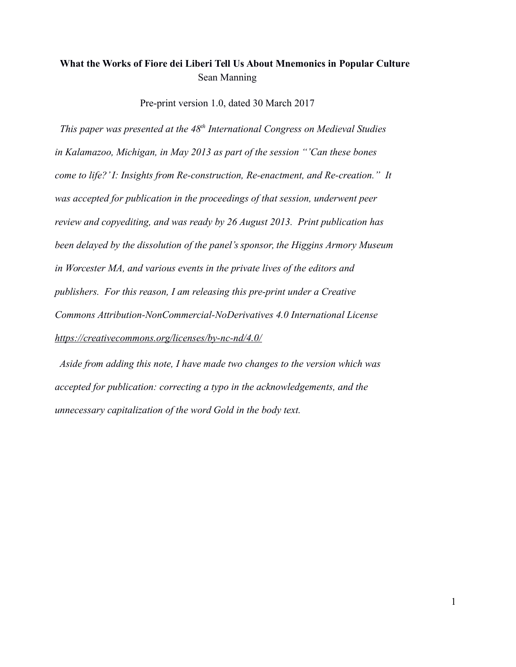## **What the Works of Fiore dei Liberi Tell Us About Mnemonics in Popular Culture** Sean Manning

Pre-print version 1.0, dated 30 March 2017

 *This paper was presented at the 48th International Congress on Medieval Studies in Kalamazoo, Michigan, in May 2013 as part of the session "'Can these bones come to life?' I: Insights from Re-construction, Re-enactment, and Re-creation." It was accepted for publication in the proceedings of that session, underwent peer review and copyediting, and was ready by 26 August 2013. Print publication has been delayed by the dissolution of the panel's sponsor, the Higgins Armory Museum in Worcester MA, and various events in the private lives of the editors and publishers. For this reason, I am releasing this pre-print under a Creative Commons Attribution-NonCommercial-NoDerivatives 4.0 International License <https://creativecommons.org/licenses/by-nc-nd/4.0/>*

 *Aside from adding this note, I have made two changes to the version which was accepted for publication: correcting a typo in the acknowledgements, and the unnecessary capitalization of the word Gold in the body text.*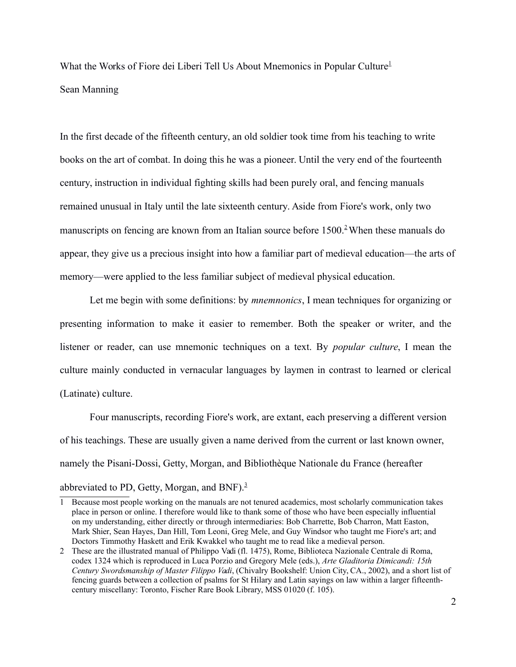What the Works of Fiore dei Liberi Tell Us About Mnemonics in Popular Culture<sup>[1](#page-1-1)</sup> Sean Manning

In the first decade of the fifteenth century, an old soldier took time from his teaching to write books on the art of combat. In doing this he was a pioneer. Until the very end of the fourteenth century, instruction in individual fighting skills had been purely oral, and fencing manuals remained unusual in Italy until the late sixteenth century. Aside from Fiore's work, only two manuscripts on fencing are known from an Italian source before  $1500<sup>2</sup>$  $1500<sup>2</sup>$  $1500<sup>2</sup>$  When these manuals do appear, they give us a precious insight into how a familiar part of medieval education—the arts of memory—were applied to the less familiar subject of medieval physical education.

Let me begin with some definitions: by *mnemnonics*, I mean techniques for organizing or presenting information to make it easier to remember. Both the speaker or writer, and the listener or reader, can use mnemonic techniques on a text. By *popular culture*, I mean the culture mainly conducted in vernacular languages by laymen in contrast to learned or clerical (Latinate) culture.

Four manuscripts, recording Fiore's work, are extant, each preserving a different version of his teachings. These are usually given a name derived from the current or last known owner, namely the Pisani-Dossi, Getty, Morgan, and Bibliothèque Nationale du France (hereafter

## abbreviated to PD, Getty, Morgan, and BNF).<sup>[3](#page-2-0)</sup>

<span id="page-1-1"></span><sup>1</sup> Because most people working on the manuals are not tenured academics, most scholarly communication takes place in person or online. I therefore would like to thank some of those who have been especially influential on my understanding, either directly or through intermediaries: Bob Charrette, Bob Charron, Matt Easton, Mark Shier, Sean Hayes, Dan Hill, Tom Leoni, Greg Mele, and Guy Windsor who taught me Fiore's art; and Doctors Timmothy Haskett and Erik Kwakkel who taught me to read like a medieval person.

<span id="page-1-0"></span><sup>2</sup> These are the illustrated manual of Philippo Vadi (fl. 1475), Rome, Biblioteca Nazionale Centrale di Roma, codex 1324 which is reproduced in Luca Porzio and Gregory Mele (eds.), *Arte Gladitoria Dimicandi: 15th Century Swordsmanship of Master Filippo Vadi*, (Chivalry Bookshelf: Union City, CA., 2002), and a short list of fencing guards between a collection of psalms for St Hilary and Latin sayings on law within a larger fifteenthcentury miscellany: Toronto, Fischer Rare Book Library, MSS 01020 (f. 105).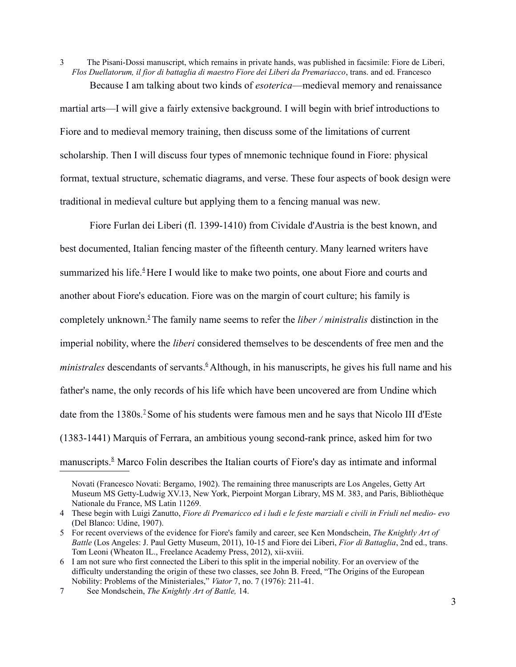<span id="page-2-0"></span>3 The Pisani-Dossi manuscript, which remains in private hands, was published in facsimile: Fiore de Liberi, *Flos Duellatorum, il fior di battaglia di maestro Fiore dei Liberi da Premariacco*, trans. and ed. Francesco Because I am talking about two kinds of *esoterica*—medieval memory and renaissance

martial arts—I will give a fairly extensive background. I will begin with brief introductions to Fiore and to medieval memory training, then discuss some of the limitations of current scholarship. Then I will discuss four types of mnemonic technique found in Fiore: physical format, textual structure, schematic diagrams, and verse. These four aspects of book design were traditional in medieval culture but applying them to a fencing manual was new.

Fiore Furlan dei Liberi (fl. 1399-1410) from Cividale d'Austria is the best known, and best documented, Italian fencing master of the fifteenth century. Many learned writers have summarized his life.<sup>[4](#page-2-5)</sup>Here I would like to make two points, one about Fiore and courts and another about Fiore's education. Fiore was on the margin of court culture; his family is completely unknown.[5](#page-2-4)The family name seems to refer the *liber / ministralis* distinction in the imperial nobility, where the *liberi* considered themselves to be descendents of free men and the *ministrales* descendants of servants.<sup>[6](#page-2-3)</sup> Although, in his manuscripts, he gives his full name and his father's name, the only records of his life which have been uncovered are from Undine which date from the 1380s.<sup>2</sup> Some of his students were famous men and he says that Nicolo III d'Este (1383-1441) Marquis of Ferrara, an ambitious young second-rank prince, asked him for two manuscripts.<sup>8</sup> Marco Folin describes the Italian courts of Fiore's day as intimate and informal

3

Novati (Francesco Novati: Bergamo, 1902). The remaining three manuscripts are Los Angeles, Getty Art Museum MS Getty-Ludwig XV.13, New York, Pierpoint Morgan Library, MS M. 383, and Paris, Bibliothèque Nationale du France, MS Latin 11269.

<span id="page-2-5"></span><sup>4</sup> These begin with Luigi Zanutto, Fiore di Premaricco ed i ludi e le feste marziali e civili in Friuli nel medio- evo (Del Blanco: Udine, 1907).

<span id="page-2-4"></span><sup>5</sup> For recent overviews of the evidence for Fiore's family and career, see Ken Mondschein, *The Knightly Art of Battle* (Los Angeles: J. Paul Getty Museum, 2011), 10-15 and Fiore dei Liberi, *Fior di Battaglia*, 2nd ed., trans. Tom Leoni (Wheaton IL., Freelance Academy Press, 2012), xii-xviii.

<span id="page-2-3"></span><sup>6</sup> I am not sure who first connected the Liberi to this split in the imperial nobility. For an overview of the difficulty understanding the origin of these two classes, see John B. Freed, "The Origins of the European Nobility: Problems of the Ministeriales," *Viator* 7, no. 7 (1976): 211-41.

<span id="page-2-2"></span><span id="page-2-1"></span><sup>7</sup> See Mondschein, *The Knightly Art of Battle,* 14.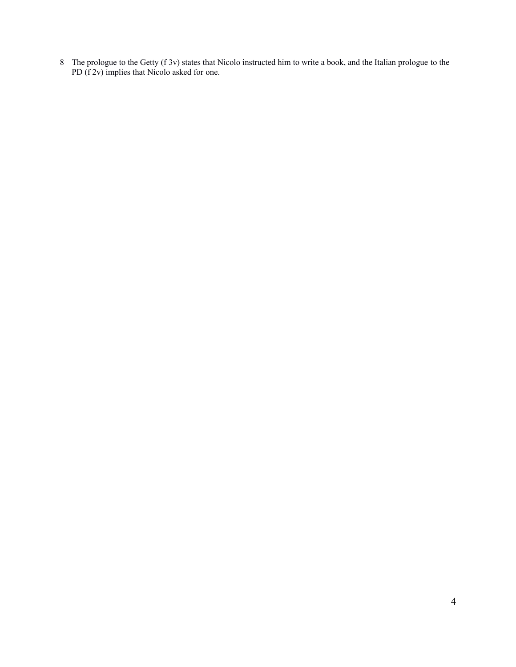The prologue to the Getty (f 3v) states that Nicolo instructed him to write a book, and the Italian prologue to the PD (f 2v) implies that Nicolo asked for one.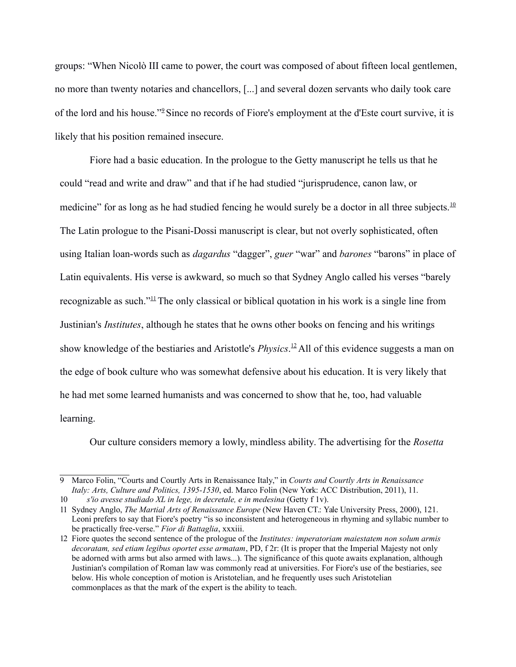groups: "When Nicolò III came to power, the court was composed of about fifteen local gentlemen, no more than twenty notaries and chancellors, [...] and several dozen servants who daily took care of the lord and his house."<sup>2</sup> Since no records of Fiore's employment at the d'Este court survive, it is likely that his position remained insecure.

Fiore had a basic education. In the prologue to the Getty manuscript he tells us that he could "read and write and draw" and that if he had studied "jurisprudence, canon law, or medicine" for as long as he had studied fencing he would surely be a doctor in all three subjects.<sup>[10](#page-4-2)</sup> The Latin prologue to the Pisani-Dossi manuscript is clear, but not overly sophisticated, often using Italian loan-words such as *dagardus* "dagger", *guer* "war" and *barones* "barons" in place of Latin equivalents. His verse is awkward, so much so that Sydney Anglo called his verses "barely recognizable as such."<sup>[11](#page-4-1)</sup>The only classical or biblical quotation in his work is a single line from Justinian's *Institutes*, although he states that he owns other books on fencing and his writings show knowledge of the bestiaries and Aristotle's *Physics*. [12](#page-4-0) All of this evidence suggests a man on the edge of book culture who was somewhat defensive about his education. It is very likely that he had met some learned humanists and was concerned to show that he, too, had valuable learning.

<span id="page-4-0"></span>Our culture considers memory a lowly, mindless ability. The advertising for the *Rosetta*

<span id="page-4-3"></span><sup>9</sup> Marco Folin, "Courts and Courtly Arts in Renaissance Italy," in *Courts and Courtly Arts in Renaissance Italy: Arts, Culture and Politics, 1395-1530*, ed. Marco Folin (New York: ACC Distribution, 2011), 11.

<span id="page-4-2"></span><sup>10</sup> *s'io avesse studiado XL in lege, in decretale, e in medesina* (Getty f 1v).

<span id="page-4-1"></span><sup>11</sup> Sydney Anglo, *The Martial Arts of Renaissance Europe* (New Haven CT.: Yale University Press, 2000), 121. Leoni prefers to say that Fiore's poetry "is so inconsistent and heterogeneous in rhyming and syllabic number to be practically free-verse." *Fior di Battaglia*, xxxiii.

<sup>12</sup> Fiore quotes the second sentence of the prologue of the *Institutes: imperatoriam maiestatem non solum armis decoratam, sed etiam legibus oportet esse armatam*, PD, f 2r: (It is proper that the Imperial Majesty not only be adorned with arms but also armed with laws...). The significance of this quote awaits explanation, although Justinian's compilation of Roman law was commonly read at universities. For Fiore's use of the bestiaries, see below. His whole conception of motion is Aristotelian, and he frequently uses such Aristotelian commonplaces as that the mark of the expert is the ability to teach.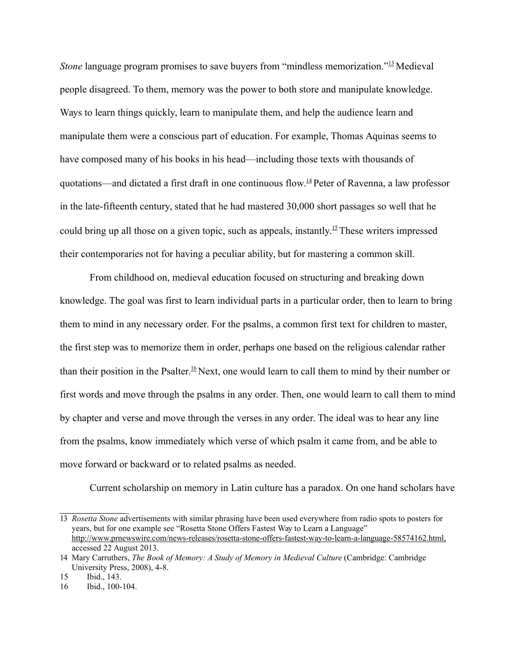*Stone* language program promises to save buyers from "mindless memorization."<sup>[13](#page-5-3)</sup>Medieval people disagreed. To them, memory was the power to both store and manipulate knowledge. Ways to learn things quickly, learn to manipulate them, and help the audience learn and manipulate them were a conscious part of education. For example, Thomas Aquinas seems to have composed many of his books in his head—including those texts with thousands of quotations—and dictated a first draft in one continuous flow.<sup>[14](#page-5-2)</sup> Peter of Ravenna, a law professor in the late-fifteenth century, stated that he had mastered 30,000 short passages so well that he could bring up all those on a given topic, such as appeals, instantly.<sup>[15](#page-5-1)</sup> These writers impressed their contemporaries not for having a peculiar ability, but for mastering a common skill.

From childhood on, medieval education focused on structuring and breaking down knowledge. The goal was first to learn individual parts in a particular order, then to learn to bring them to mind in any necessary order. For the psalms, a common first text for children to master, the first step was to memorize them in order, perhaps one based on the religious calendar rather than their position in the Psalter.[16](#page-5-0) Next, one would learn to call them to mind by their number or first words and move through the psalms in any order. Then, one would learn to call them to mind by chapter and verse and move through the verses in any order. The ideal was to hear any line from the psalms, know immediately which verse of which psalm it came from, and be able to move forward or backward or to related psalms as needed.

Current scholarship on memory in Latin culture has a paradox. On one hand scholars have

<span id="page-5-3"></span><sup>13</sup> *Rosetta Stone* advertisements with similar phrasing have been used everywhere from radio spots to posters for years, but for one example see "Rosetta Stone Offers Fastest Way to Learn a Language" [http://www.prnewswire.com/news-releases/rosetta-stone-offers-fastest-way-to-learn-a-language-58574162.html,](http://www.prnewswire.com/news-releases/rosetta-stone-offers-fastest-way-to-learn-a-language-58574162.html) accessed 22 August 2013.

<span id="page-5-2"></span><sup>14</sup> Mary Carruthers, *The Book of Memory: A Study of Memory in Medieval Culture* (Cambridge: Cambridge University Press, 2008), 4-8.

<span id="page-5-1"></span><sup>15</sup> Ibid., 143.

<span id="page-5-0"></span><sup>16</sup> Ibid., 100-104.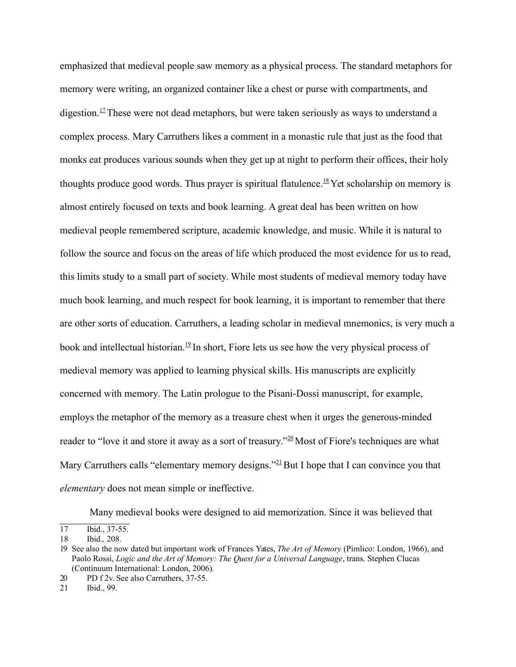emphasized that medieval people saw memory as a physical process. The standard metaphors for memory were writing, an organized container like a chest or purse with compartments, and digestion.<sup>[17](#page-6-4)</sup> These were not dead metaphors, but were taken seriously as ways to understand a complex process. Mary Carruthers likes a comment in a monastic rule that just as the food that monks eat produces various sounds when they get up at night to perform their offices, their holy thoughts produce good words. Thus prayer is spiritual flatulence.<sup>[18](#page-6-3)</sup> Yet scholarship on memory is almost entirely focused on texts and book learning. A great deal has been written on how medieval people remembered scripture, academic knowledge, and music. While it is natural to follow the source and focus on the areas of life which produced the most evidence for us to read, this limits study to a small part of society. While most students of medieval memory today have much book learning, and much respect for book learning, it is important to remember that there are other sorts of education. Carruthers, a leading scholar in medieval mnemonics, is very much a book and intellectual historian.<sup>[19](#page-6-2)</sup> In short, Fiore lets us see how the very physical process of medieval memory was applied to learning physical skills. His manuscripts are explicitly concerned with memory. The Latin prologue to the Pisani-Dossi manuscript, for example, employs the metaphor of the memory as a treasure chest when it urges the generous-minded reader to "love it and store it away as a sort of treasury."<sup>[20](#page-6-1)</sup> Most of Fiore's techniques are what Mary Carruthers calls "elementary memory designs."<sup>[21](#page-6-0)</sup>But I hope that I can convince you that *elementary* does not mean simple or ineffective.

<span id="page-6-4"></span><span id="page-6-1"></span>Many medieval books were designed to aid memorization. Since it was believed that

<sup>17</sup> Ibid., 37-55.

<span id="page-6-3"></span><sup>18</sup> Ibid.*,* 208.

<span id="page-6-2"></span><sup>19</sup> See also the now dated but important work of Frances Yates, *The Art of Memory* (Pimlico: London, 1966), and Paolo Rossi, *Logic and the Art of Memory: The Quest for a Universal Language*, trans. Stephen Clucas (Continuum International: London, 2006).

<sup>20</sup> PD f 2v. See also Carruthers, 37-55.

<span id="page-6-0"></span><sup>21</sup> Ibid., 99.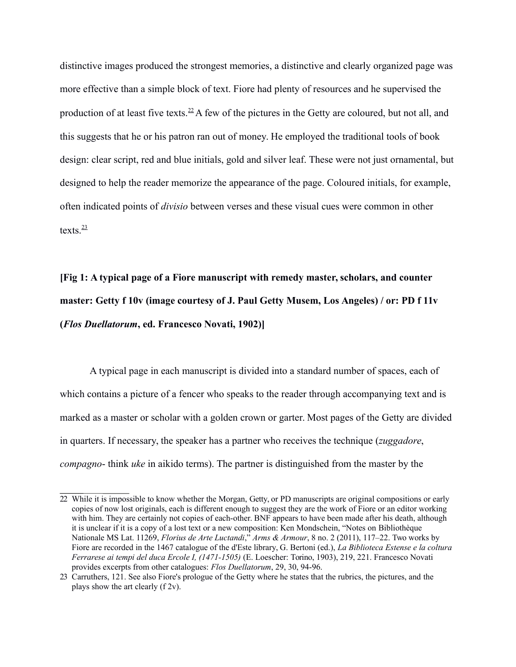distinctive images produced the strongest memories, a distinctive and clearly organized page was more effective than a simple block of text. Fiore had plenty of resources and he supervised the production of at least five texts.<sup>[22](#page-7-1)</sup> A few of the pictures in the Getty are coloured, but not all, and this suggests that he or his patron ran out of money. He employed the traditional tools of book design: clear script, red and blue initials, gold and silver leaf. These were not just ornamental, but designed to help the reader memorize the appearance of the page. Coloured initials, for example, often indicated points of *divisio* between verses and these visual cues were common in other texts. $\frac{23}{2}$  $\frac{23}{2}$  $\frac{23}{2}$ 

## **[Fig 1: A typical page of a Fiore manuscript with remedy master, scholars, and counter master: Getty f 10v (image courtesy of J. Paul Getty Musem, Los Angeles) / or: PD f 11v (***Flos Duellatorum***, ed. Francesco Novati, 1902)]**

A typical page in each manuscript is divided into a standard number of spaces, each of which contains a picture of a fencer who speaks to the reader through accompanying text and is marked as a master or scholar with a golden crown or garter. Most pages of the Getty are divided in quarters. If necessary, the speaker has a partner who receives the technique (*zuggadore*, *compagno*- think *uke* in aikido terms). The partner is distinguished from the master by the

<span id="page-7-1"></span><sup>22</sup> While it is impossible to know whether the Morgan, Getty, or PD manuscripts are original compositions or early copies of now lost originals, each is different enough to suggest they are the work of Fiore or an editor working with him. They are certainly not copies of each-other. BNF appears to have been made after his death, although it is unclear if it is a copy of a lost text or a new composition: Ken Mondschein, "Notes on Bibliothèque Nationale MS Lat. 11269, *Florius de Arte Luctandi*," *Arms & Armour*, 8 no. 2 (2011), 117–22. Two works by Fiore are recorded in the 1467 catalogue of the d'Este library, G. Bertoni (ed.), *La Biblioteca Estense e la coltura Ferrarese ai tempi del duca Ercole I, (1471-1505)* (E. Loescher: Torino, 1903), 219, 221. Francesco Novati provides excerpts from other catalogues: *Flos Duellatorum*, 29, 30, 94-96.

<span id="page-7-0"></span><sup>23</sup> Carruthers, 121. See also Fiore's prologue of the Getty where he states that the rubrics, the pictures, and the plays show the art clearly (f 2v).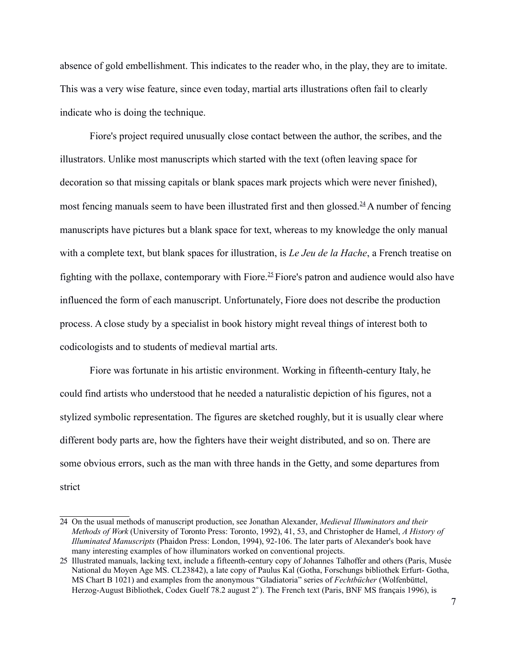absence of gold embellishment. This indicates to the reader who, in the play, they are to imitate. This was a very wise feature, since even today, martial arts illustrations often fail to clearly indicate who is doing the technique.

Fiore's project required unusually close contact between the author, the scribes, and the illustrators. Unlike most manuscripts which started with the text (often leaving space for decoration so that missing capitals or blank spaces mark projects which were never finished), most fencing manuals seem to have been illustrated first and then glossed.<sup>[24](#page-8-1)</sup> A number of fencing manuscripts have pictures but a blank space for text, whereas to my knowledge the only manual with a complete text, but blank spaces for illustration, is *Le Jeu de la Hache*, a French treatise on fighting with the pollaxe, contemporary with Fiore.<sup>[25](#page-8-0)</sup> Fiore's patron and audience would also have influenced the form of each manuscript. Unfortunately, Fiore does not describe the production process. A close study by a specialist in book history might reveal things of interest both to codicologists and to students of medieval martial arts.

Fiore was fortunate in his artistic environment. Working in fifteenth-century Italy, he could find artists who understood that he needed a naturalistic depiction of his figures, not a stylized symbolic representation. The figures are sketched roughly, but it is usually clear where different body parts are, how the fighters have their weight distributed, and so on. There are some obvious errors, such as the man with three hands in the Getty, and some departures from strict

<span id="page-8-1"></span><sup>24</sup> On the usual methods of manuscript production, see Jonathan Alexander, *Medieval Illuminators and their Methods of Work* (University of Toronto Press: Toronto, 1992), 41, 53, and Christopher de Hamel, *A History of Illuminated Manuscripts* (Phaidon Press: London, 1994), 92-106. The later parts of Alexander's book have many interesting examples of how illuminators worked on conventional projects.

<span id="page-8-0"></span><sup>25</sup> Illustrated manuals, lacking text, include a fifteenth-century copy of Johannes Talhoffer and others (Paris, Musée National du Moyen Age MS. CL23842), a late copy of Paulus Kal (Gotha, Forschungs bibliothek Erfurt- Gotha, MS Chart B 1021) and examples from the anonymous "Gladiatoria" series of *Fechtbücher* (Wolfenbüttel, Herzog-August Bibliothek, Codex Guelf 78.2 august 2°). The French text (Paris, BNF MS français 1996), is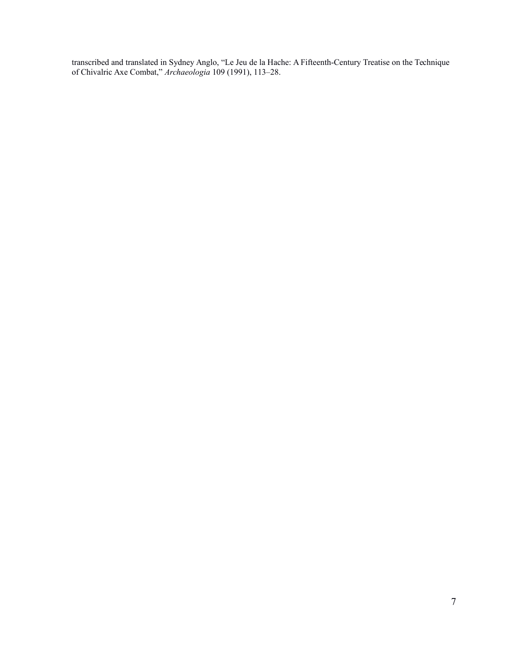transcribed and translated in Sydney Anglo, "Le Jeu de la Hache: A Fifteenth-Century Treatise on the Technique of Chivalric Axe Combat," *Archaeologia* 109 (1991), 113–28.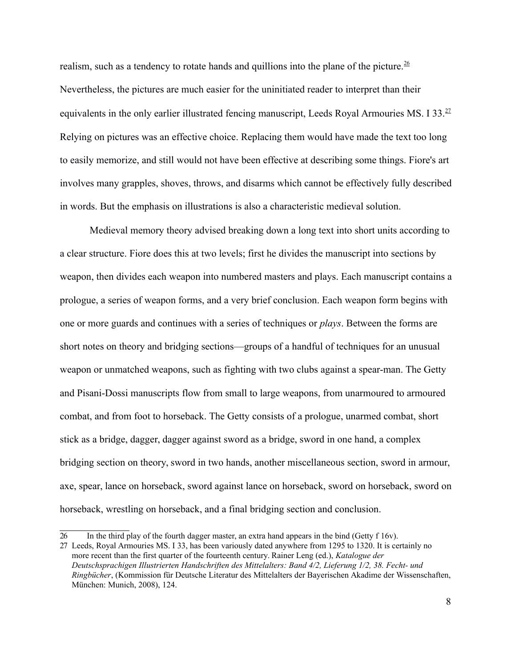realism, such as a tendency to rotate hands and quillions into the plane of the picture.<sup>[26](#page-10-1)</sup> Nevertheless, the pictures are much easier for the uninitiated reader to interpret than their equivalents in the only earlier illustrated fencing manuscript, Leeds Royal Armouries MS. I 33.<sup>[27](#page-10-0)</sup> Relying on pictures was an effective choice. Replacing them would have made the text too long to easily memorize, and still would not have been effective at describing some things. Fiore's art involves many grapples, shoves, throws, and disarms which cannot be effectively fully described in words. But the emphasis on illustrations is also a characteristic medieval solution.

Medieval memory theory advised breaking down a long text into short units according to a clear structure. Fiore does this at two levels; first he divides the manuscript into sections by weapon, then divides each weapon into numbered masters and plays. Each manuscript contains a prologue, a series of weapon forms, and a very brief conclusion. Each weapon form begins with one or more guards and continues with a series of techniques or *plays*. Between the forms are short notes on theory and bridging sections—groups of a handful of techniques for an unusual weapon or unmatched weapons, such as fighting with two clubs against a spear-man. The Getty and Pisani-Dossi manuscripts flow from small to large weapons, from unarmoured to armoured combat, and from foot to horseback. The Getty consists of a prologue, unarmed combat, short stick as a bridge, dagger, dagger against sword as a bridge, sword in one hand, a complex bridging section on theory, sword in two hands, another miscellaneous section, sword in armour, axe, spear, lance on horseback, sword against lance on horseback, sword on horseback, sword on horseback, wrestling on horseback, and a final bridging section and conclusion.

<span id="page-10-1"></span><span id="page-10-0"></span><sup>26</sup> In the third play of the fourth dagger master, an extra hand appears in the bind (Getty f 16v).

<sup>27</sup> Leeds, Royal Armouries MS. I 33, has been variously dated anywhere from 1295 to 1320. It is certainly no more recent than the first quarter of the fourteenth century. Rainer Leng (ed.), *Katalogue der Deutschsprachigen Illustrierten Handschriften des Mittelalters: Band 4/2, Lieferung 1/2, 38. Fecht- und Ringbücher*, (Kommission für Deutsche Literatur des Mittelalters der Bayerischen Akadime der Wissenschaften, München: Munich, 2008), 124.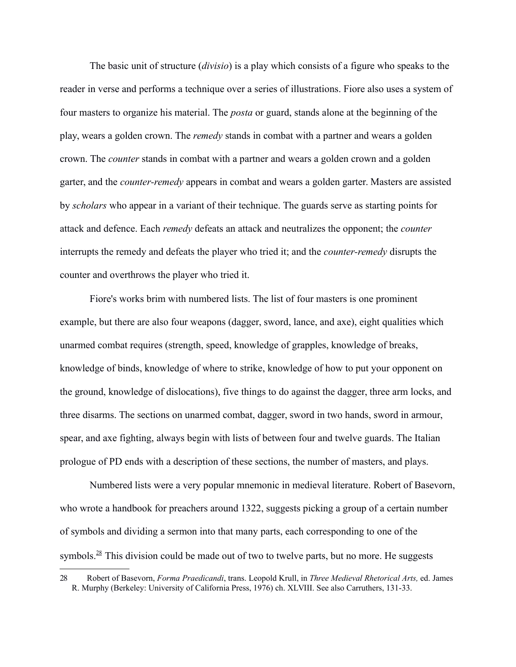The basic unit of structure (*divisio*) is a play which consists of a figure who speaks to the reader in verse and performs a technique over a series of illustrations. Fiore also uses a system of four masters to organize his material. The *posta* or guard, stands alone at the beginning of the play, wears a golden crown. The *remedy* stands in combat with a partner and wears a golden crown. The *counter* stands in combat with a partner and wears a golden crown and a golden garter, and the *counter-remedy* appears in combat and wears a golden garter. Masters are assisted by *scholars* who appear in a variant of their technique. The guards serve as starting points for attack and defence. Each *remedy* defeats an attack and neutralizes the opponent; the *counter*  interrupts the remedy and defeats the player who tried it; and the *counter-remedy* disrupts the counter and overthrows the player who tried it.

Fiore's works brim with numbered lists. The list of four masters is one prominent example, but there are also four weapons (dagger, sword, lance, and axe), eight qualities which unarmed combat requires (strength, speed, knowledge of grapples, knowledge of breaks, knowledge of binds, knowledge of where to strike, knowledge of how to put your opponent on the ground, knowledge of dislocations), five things to do against the dagger, three arm locks, and three disarms. The sections on unarmed combat, dagger, sword in two hands, sword in armour, spear, and axe fighting, always begin with lists of between four and twelve guards. The Italian prologue of PD ends with a description of these sections, the number of masters, and plays.

Numbered lists were a very popular mnemonic in medieval literature. Robert of Basevorn, who wrote a handbook for preachers around 1322, suggests picking a group of a certain number of symbols and dividing a sermon into that many parts, each corresponding to one of the symbols. $^{28}$  This division could be made out of two to twelve parts, but no more. He suggests

<span id="page-11-0"></span><sup>28</sup> Robert of Basevorn, *Forma Praedicandi*, trans. Leopold Krull, in *Three Medieval Rhetorical Arts,* ed. James R. Murphy (Berkeley: University of California Press, 1976) ch. XLVIII. See also Carruthers, 131-33.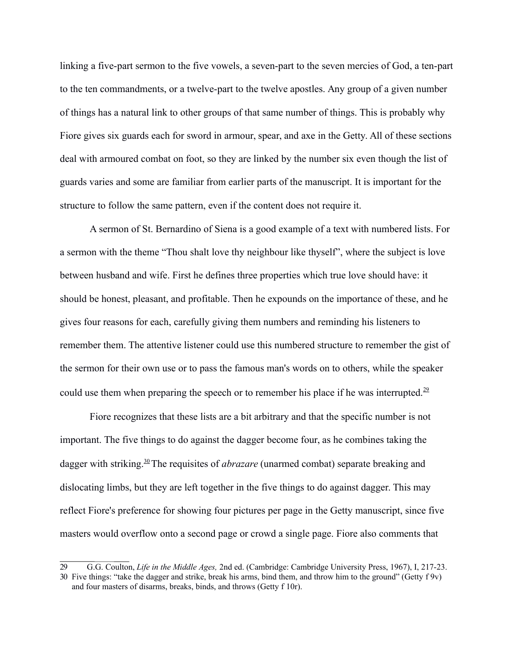linking a five-part sermon to the five vowels, a seven-part to the seven mercies of God, a ten-part to the ten commandments, or a twelve-part to the twelve apostles. Any group of a given number of things has a natural link to other groups of that same number of things. This is probably why Fiore gives six guards each for sword in armour, spear, and axe in the Getty. All of these sections deal with armoured combat on foot, so they are linked by the number six even though the list of guards varies and some are familiar from earlier parts of the manuscript. It is important for the structure to follow the same pattern, even if the content does not require it.

A sermon of St. Bernardino of Siena is a good example of a text with numbered lists. For a sermon with the theme "Thou shalt love thy neighbour like thyself", where the subject is love between husband and wife. First he defines three properties which true love should have: it should be honest, pleasant, and profitable. Then he expounds on the importance of these, and he gives four reasons for each, carefully giving them numbers and reminding his listeners to remember them. The attentive listener could use this numbered structure to remember the gist of the sermon for their own use or to pass the famous man's words on to others, while the speaker could use them when preparing the speech or to remember his place if he was interrupted.<sup>[29](#page-12-1)</sup>

Fiore recognizes that these lists are a bit arbitrary and that the specific number is not important. The five things to do against the dagger become four, as he combines taking the dagger with striking.<sup>[30](#page-12-0)</sup>The requisites of *abrazare* (unarmed combat) separate breaking and dislocating limbs, but they are left together in the five things to do against dagger. This may reflect Fiore's preference for showing four pictures per page in the Getty manuscript, since five masters would overflow onto a second page or crowd a single page. Fiore also comments that

<span id="page-12-1"></span><span id="page-12-0"></span><sup>29</sup> G.G. Coulton, *Life in the Middle Ages,* 2nd ed. (Cambridge: Cambridge University Press, 1967), I, 217-23. 30 Five things: "take the dagger and strike, break his arms, bind them, and throw him to the ground" (Getty f 9v) and four masters of disarms, breaks, binds, and throws (Getty f 10r).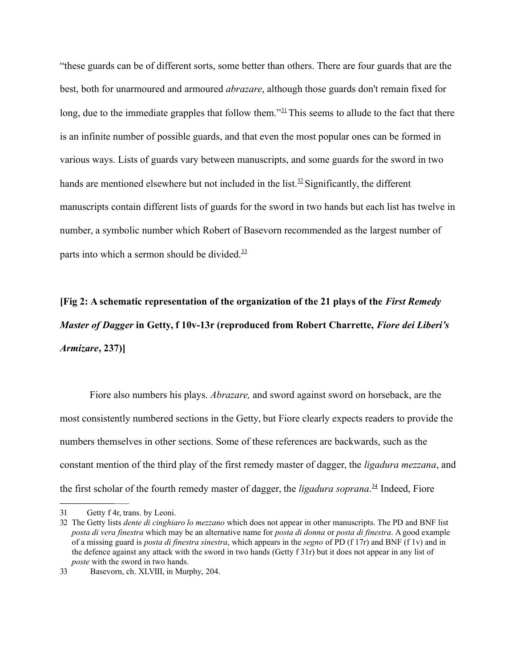"these guards can be of different sorts, some better than others. There are four guards that are the best, both for unarmoured and armoured *abrazare*, although those guards don't remain fixed for long, due to the immediate grapples that follow them.<sup>"[31](#page-13-3)</sup>This seems to allude to the fact that there is an infinite number of possible guards, and that even the most popular ones can be formed in various ways. Lists of guards vary between manuscripts, and some guards for the sword in two hands are mentioned elsewhere but not included in the list.<sup>[32](#page-13-2)</sup> Significantly, the different manuscripts contain different lists of guards for the sword in two hands but each list has twelve in number, a symbolic number which Robert of Basevorn recommended as the largest number of parts into which a sermon should be divided. $33$ 

**[Fig 2: A schematic representation of the organization of the 21 plays of the** *First Remedy Master of Dagger* **in Getty, f 10v-13r (reproduced from Robert Charrette,** *Fiore dei Liberi's Armizare***, 237)]**

Fiore also numbers his plays. *Abrazare,* and sword against sword on horseback, are the most consistently numbered sections in the Getty, but Fiore clearly expects readers to provide the numbers themselves in other sections. Some of these references are backwards, such as the constant mention of the third play of the first remedy master of dagger, the *ligadura mezzana*, and the first scholar of the fourth remedy master of dagger, the *ligadura soprana*. [34](#page-13-0) Indeed, Fiore

<span id="page-13-3"></span><sup>31</sup> Getty f 4r, trans. by Leoni.

<span id="page-13-2"></span><sup>32</sup> The Getty lists *dente di cinghiaro lo mezzano* which does not appear in other manuscripts. The PD and BNF list *posta di vera finestra* which may be an alternative name for *posta di donna* or *posta di finestra*. A good example of a missing guard is *posta di finestra sinestra*, which appears in the *segno* of PD (f 17r) and BNF (f 1v) and in the defence against any attack with the sword in two hands (Getty f 31r) but it does not appear in any list of *poste* with the sword in two hands.

<span id="page-13-1"></span><span id="page-13-0"></span><sup>33</sup> Basevorn, ch. XLVIII, in Murphy, 204.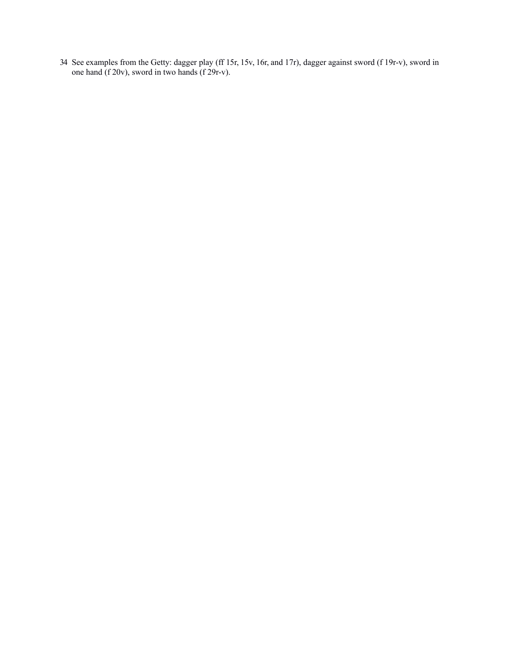34 See examples from the Getty: dagger play (ff 15r, 15v, 16r, and 17r), dagger against sword (f 19r-v), sword in one hand (f 20v), sword in two hands (f 29r-v).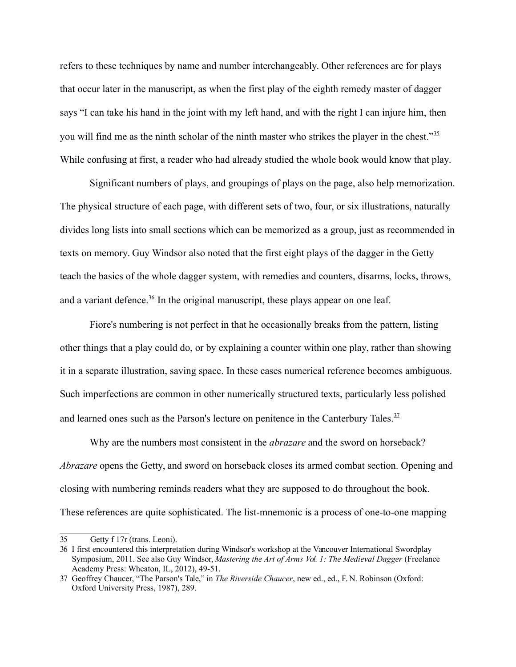refers to these techniques by name and number interchangeably. Other references are for plays that occur later in the manuscript, as when the first play of the eighth remedy master of dagger says "I can take his hand in the joint with my left hand, and with the right I can injure him, then you will find me as the ninth scholar of the ninth master who strikes the player in the chest."<sup>[35](#page-15-2)</sup> While confusing at first, a reader who had already studied the whole book would know that play.

Significant numbers of plays, and groupings of plays on the page, also help memorization. The physical structure of each page, with different sets of two, four, or six illustrations, naturally divides long lists into small sections which can be memorized as a group, just as recommended in texts on memory. Guy Windsor also noted that the first eight plays of the dagger in the Getty teach the basics of the whole dagger system, with remedies and counters, disarms, locks, throws, and a variant defence.<sup>36</sup> In the original manuscript, these plays appear on one leaf.

Fiore's numbering is not perfect in that he occasionally breaks from the pattern, listing other things that a play could do, or by explaining a counter within one play, rather than showing it in a separate illustration, saving space. In these cases numerical reference becomes ambiguous. Such imperfections are common in other numerically structured texts, particularly less polished and learned ones such as the Parson's lecture on penitence in the Canterbury Tales.  $37$ 

Why are the numbers most consistent in the *abrazare* and the sword on horseback? *Abrazare* opens the Getty, and sword on horseback closes its armed combat section. Opening and closing with numbering reminds readers what they are supposed to do throughout the book. These references are quite sophisticated. The list-mnemonic is a process of one-to-one mapping

<span id="page-15-2"></span><sup>35</sup> Getty f 17r (trans. Leoni).

<span id="page-15-1"></span><sup>36</sup> I first encountered this interpretation during Windsor's workshop at the Vancouver International Swordplay Symposium, 2011. See also Guy Windsor, *Mastering the Art of Arms Vol. 1: The Medieval Dagger* (Freelance Academy Press: Wheaton, IL, 2012), 49-51.

<span id="page-15-0"></span><sup>37</sup> Geoffrey Chaucer, "The Parson's Tale," in *The Riverside Chaucer*, new ed., ed., F. N. Robinson (Oxford: Oxford University Press, 1987), 289.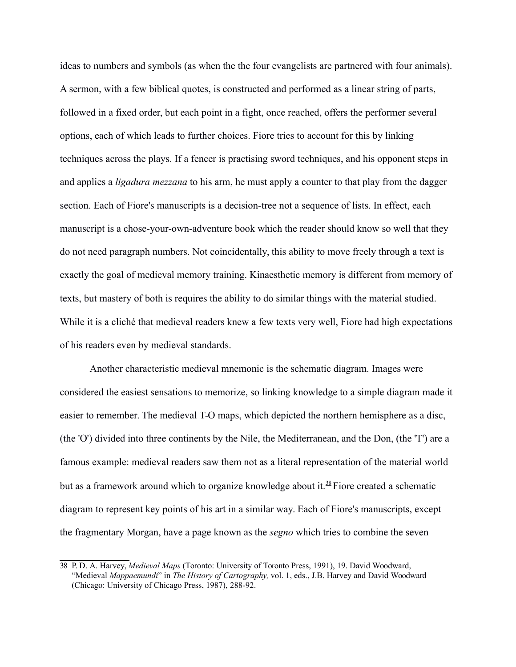ideas to numbers and symbols (as when the the four evangelists are partnered with four animals). A sermon, with a few biblical quotes, is constructed and performed as a linear string of parts, followed in a fixed order, but each point in a fight, once reached, offers the performer several options, each of which leads to further choices. Fiore tries to account for this by linking techniques across the plays. If a fencer is practising sword techniques, and his opponent steps in and applies a *ligadura mezzana* to his arm, he must apply a counter to that play from the dagger section. Each of Fiore's manuscripts is a decision-tree not a sequence of lists. In effect, each manuscript is a chose-your-own-adventure book which the reader should know so well that they do not need paragraph numbers. Not coincidentally, this ability to move freely through a text is exactly the goal of medieval memory training. Kinaesthetic memory is different from memory of texts, but mastery of both is requires the ability to do similar things with the material studied. While it is a cliché that medieval readers knew a few texts very well, Fiore had high expectations of his readers even by medieval standards.

Another characteristic medieval mnemonic is the schematic diagram. Images were considered the easiest sensations to memorize, so linking knowledge to a simple diagram made it easier to remember. The medieval T-O maps, which depicted the northern hemisphere as a disc, (the 'O') divided into three continents by the Nile, the Mediterranean, and the Don, (the 'T') are a famous example: medieval readers saw them not as a literal representation of the material world but as a framework around which to organize knowledge about it.<sup>[38](#page-16-0)</sup> Fiore created a schematic diagram to represent key points of his art in a similar way. Each of Fiore's manuscripts, except the fragmentary Morgan, have a page known as the *segno* which tries to combine the seven

<span id="page-16-0"></span><sup>38</sup> P. D. A. Harvey, *Medieval Maps* (Toronto: University of Toronto Press, 1991), 19. David Woodward, "Medieval *Mappaemundi*" in *The History of Cartography,* vol. 1, eds., J.B. Harvey and David Woodward (Chicago: University of Chicago Press, 1987), 288-92.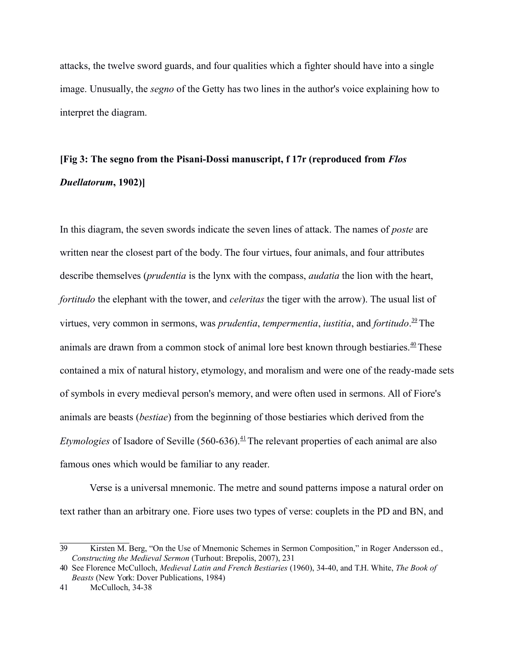attacks, the twelve sword guards, and four qualities which a fighter should have into a single image. Unusually, the *segno* of the Getty has two lines in the author's voice explaining how to interpret the diagram.

## **[Fig 3: The segno from the Pisani-Dossi manuscript, f 17r (reproduced from** *Flos Duellatorum***, 1902)]**

In this diagram, the seven swords indicate the seven lines of attack. The names of *poste* are written near the closest part of the body. The four virtues, four animals, and four attributes describe themselves (*prudentia* is the lynx with the compass, *audatia* the lion with the heart, *fortitudo* the elephant with the tower, and *celeritas* the tiger with the arrow). The usual list of virtues, very common in sermons, was *prudentia*, *tempermentia*, *iustitia*, and *fortitudo*. [39](#page-17-2)The animals are drawn from a common stock of animal lore best known through bestiaries. $40$  These contained a mix of natural history, etymology, and moralism and were one of the ready-made sets of symbols in every medieval person's memory, and were often used in sermons. All of Fiore's animals are beasts (*bestiae*) from the beginning of those bestiaries which derived from the *Etymologies* of Isadore of Seville (560-636).<sup>[41](#page-17-0)</sup> The relevant properties of each animal are also famous ones which would be familiar to any reader.

Verse is a universal mnemonic. The metre and sound patterns impose a natural order on text rather than an arbitrary one. Fiore uses two types of verse: couplets in the PD and BN, and

<span id="page-17-2"></span><sup>39</sup> Kirsten M. Berg, "On the Use of Mnemonic Schemes in Sermon Composition," in Roger Andersson ed., *Constructing the Medieval Sermon* (Turhout: Brepolis, 2007), 231

<span id="page-17-1"></span><span id="page-17-0"></span><sup>40</sup> See Florence McCulloch, *Medieval Latin and French Bestiaries* (1960), 34-40, and T.H. White, *The Book of Beasts* (New York: Dover Publications, 1984)

<sup>41</sup> McCulloch, 34-38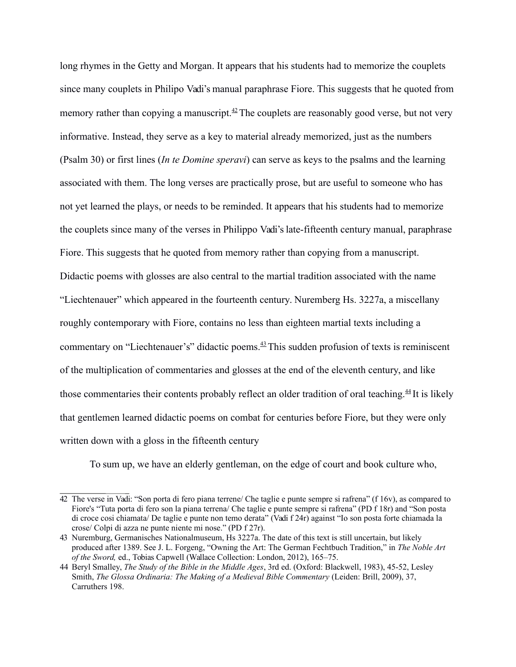long rhymes in the Getty and Morgan. It appears that his students had to memorize the couplets since many couplets in Philipo Vadi's manual paraphrase Fiore. This suggests that he quoted from memory rather than copying a manuscript.<sup>[42](#page-18-2)</sup> The couplets are reasonably good verse, but not very informative. Instead, they serve as a key to material already memorized, just as the numbers (Psalm 30) or first lines (*In te Domine speravi*) can serve as keys to the psalms and the learning associated with them. The long verses are practically prose, but are useful to someone who has not yet learned the plays, or needs to be reminded. It appears that his students had to memorize the couplets since many of the verses in Philippo Vadi's late-fifteenth century manual, paraphrase Fiore. This suggests that he quoted from memory rather than copying from a manuscript. Didactic poems with glosses are also central to the martial tradition associated with the name "Liechtenauer" which appeared in the fourteenth century. Nuremberg Hs. 3227a, a miscellany roughly contemporary with Fiore, contains no less than eighteen martial texts including a commentary on "Liechtenauer's" didactic poems. $43$  This sudden profusion of texts is reminiscent of the multiplication of commentaries and glosses at the end of the eleventh century, and like those commentaries their contents probably reflect an older tradition of oral teaching.<sup>[44](#page-18-0)</sup> It is likely that gentlemen learned didactic poems on combat for centuries before Fiore, but they were only written down with a gloss in the fifteenth century

<span id="page-18-0"></span>To sum up, we have an elderly gentleman, on the edge of court and book culture who,

<span id="page-18-2"></span><sup>42</sup> The verse in Vadi: "Son porta di fero piana terrene/ Che taglie e punte sempre si rafrena" (f 16v), as compared to Fiore's "Tuta porta di fero son la piana terrena/ Che taglie e punte sempre si rafrena" (PD f 18r) and "Son posta di croce cosi chiamata/ De taglie e punte non temo derata" (Vadi f 24r) against "Io son posta forte chiamada la crose/ Colpi di azza ne punte niente mi nose." (PD f 27r).

<span id="page-18-1"></span><sup>43</sup> Nuremburg, Germanisches Nationalmuseum, Hs 3227a. The date of this text is still uncertain, but likely produced after 1389. See J. L. Forgeng, "Owning the Art: The German Fechtbuch Tradition," in *The Noble Art of the Sword,* ed., Tobias Capwell (Wallace Collection: London, 2012), 165–75.

<sup>44</sup> Beryl Smalley, *The Study of the Bible in the Middle Ages*, 3rd ed. (Oxford: Blackwell, 1983), 45-52, Lesley Smith, *The Glossa Ordinaria: The Making of a Medieval Bible Commentary* (Leiden: Brill, 2009), 37, Carruthers 198.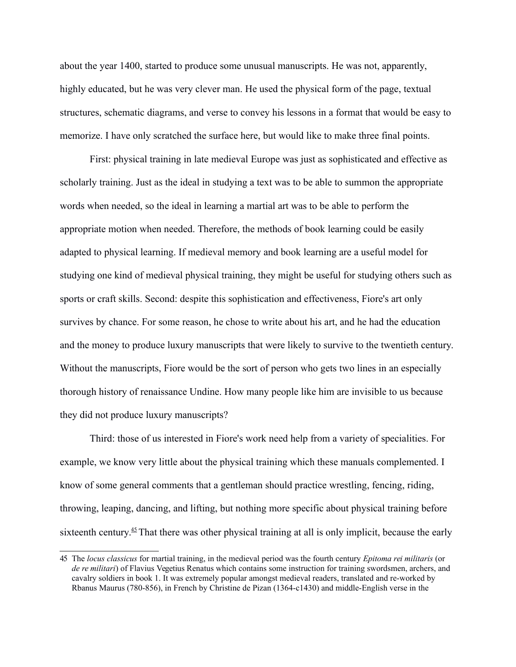about the year 1400, started to produce some unusual manuscripts. He was not, apparently, highly educated, but he was very clever man. He used the physical form of the page, textual structures, schematic diagrams, and verse to convey his lessons in a format that would be easy to memorize. I have only scratched the surface here, but would like to make three final points.

First: physical training in late medieval Europe was just as sophisticated and effective as scholarly training. Just as the ideal in studying a text was to be able to summon the appropriate words when needed, so the ideal in learning a martial art was to be able to perform the appropriate motion when needed. Therefore, the methods of book learning could be easily adapted to physical learning. If medieval memory and book learning are a useful model for studying one kind of medieval physical training, they might be useful for studying others such as sports or craft skills. Second: despite this sophistication and effectiveness, Fiore's art only survives by chance. For some reason, he chose to write about his art, and he had the education and the money to produce luxury manuscripts that were likely to survive to the twentieth century. Without the manuscripts, Fiore would be the sort of person who gets two lines in an especially thorough history of renaissance Undine. How many people like him are invisible to us because they did not produce luxury manuscripts?

Third: those of us interested in Fiore's work need help from a variety of specialities. For example, we know very little about the physical training which these manuals complemented. I know of some general comments that a gentleman should practice wrestling, fencing, riding, throwing, leaping, dancing, and lifting, but nothing more specific about physical training before sixteenth century.<sup> $45$ </sup> That there was other physical training at all is only implicit, because the early

<span id="page-19-0"></span><sup>45</sup> The *locus classicus* for martial training, in the medieval period was the fourth century *Epitoma rei militaris* (or *de re militari*) of Flavius Vegetius Renatus which contains some instruction for training swordsmen, archers, and cavalry soldiers in book 1. It was extremely popular amongst medieval readers, translated and re-worked by Rbanus Maurus (780-856), in French by Christine de Pizan (1364-c1430) and middle-English verse in the